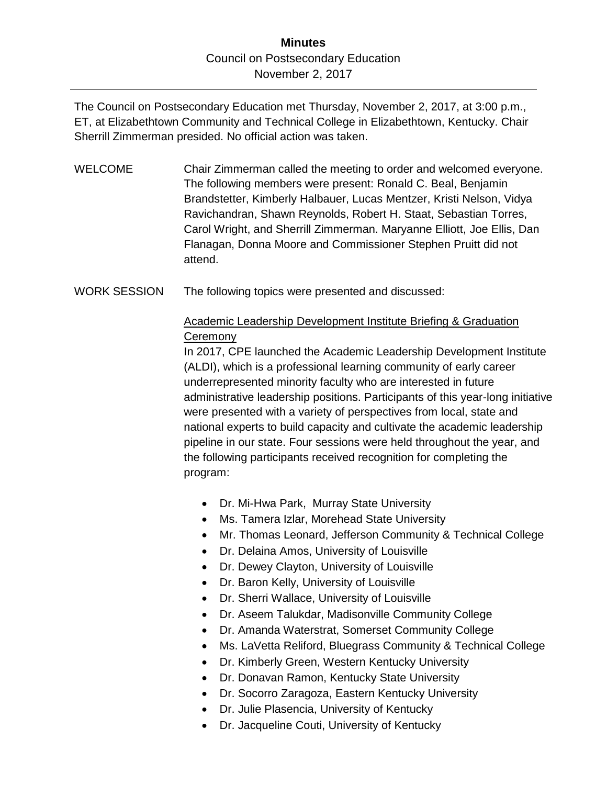## **Minutes** Council on Postsecondary Education November 2, 2017

The Council on Postsecondary Education met Thursday, November 2, 2017, at 3:00 p.m., ET, at Elizabethtown Community and Technical College in Elizabethtown, Kentucky. Chair Sherrill Zimmerman presided. No official action was taken.

- WELCOME Chair Zimmerman called the meeting to order and welcomed everyone. The following members were present: Ronald C. Beal, Benjamin Brandstetter, Kimberly Halbauer, Lucas Mentzer, Kristi Nelson, Vidya Ravichandran, Shawn Reynolds, Robert H. Staat, Sebastian Torres, Carol Wright, and Sherrill Zimmerman. Maryanne Elliott, Joe Ellis, Dan Flanagan, Donna Moore and Commissioner Stephen Pruitt did not attend.
- WORK SESSION The following topics were presented and discussed:

## Academic Leadership Development Institute Briefing & Graduation **Ceremony**

In 2017, CPE launched the Academic Leadership Development Institute (ALDI), which is a professional learning community of early career underrepresented minority faculty who are interested in future administrative leadership positions. Participants of this year-long initiative were presented with a variety of perspectives from local, state and national experts to build capacity and cultivate the academic leadership pipeline in our state. Four sessions were held throughout the year, and the following participants received recognition for completing the program:

- Dr. Mi-Hwa Park, Murray State University
- Ms. Tamera Izlar, Morehead State University
- Mr. Thomas Leonard, Jefferson Community & Technical College
- Dr. Delaina Amos, University of Louisville
- Dr. Dewey Clayton, University of Louisville
- Dr. Baron Kelly, University of Louisville
- Dr. Sherri Wallace, University of Louisville
- Dr. Aseem Talukdar, Madisonville Community College
- Dr. Amanda Waterstrat, Somerset Community College
- Ms. LaVetta Reliford, Bluegrass Community & Technical College
- Dr. Kimberly Green, Western Kentucky University
- Dr. Donavan Ramon, Kentucky State University
- Dr. Socorro Zaragoza, Eastern Kentucky University
- Dr. Julie Plasencia, University of Kentucky
- Dr. Jacqueline Couti, University of Kentucky